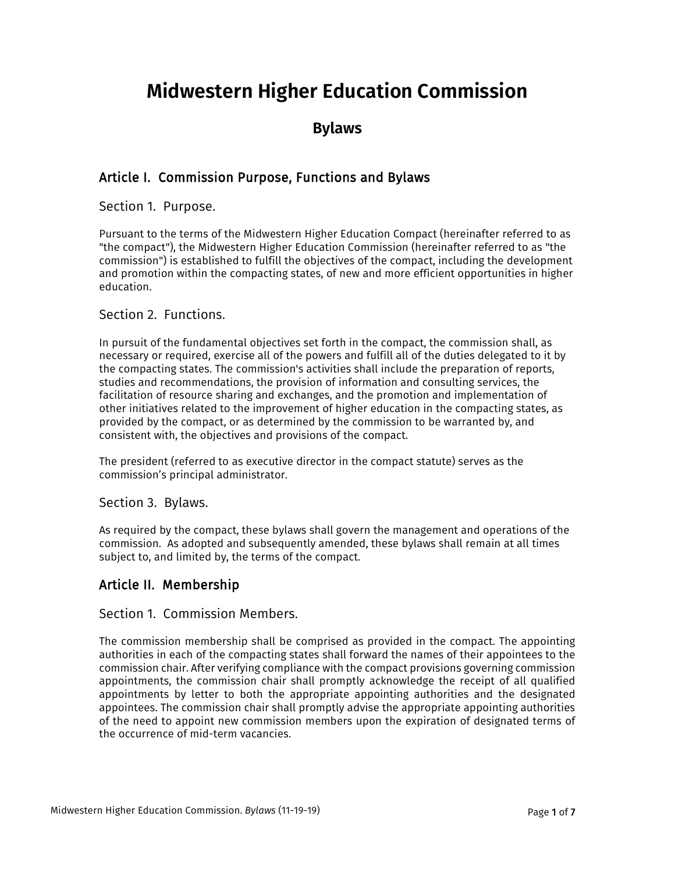# **Midwestern Higher Education Commission**

# **Bylaws**

# Article I. Commission Purpose, Functions and Bylaws

Section 1. Purpose.

Pursuant to the terms of the Midwestern Higher Education Compact (hereinafter referred to as "the compact"), the Midwestern Higher Education Commission (hereinafter referred to as "the commission") is established to fulfill the objectives of the compact, including the development and promotion within the compacting states, of new and more efficient opportunities in higher education.

### Section 2. Functions.

In pursuit of the fundamental objectives set forth in the compact, the commission shall, as necessary or required, exercise all of the powers and fulfill all of the duties delegated to it by the compacting states. The commission's activities shall include the preparation of reports, studies and recommendations, the provision of information and consulting services, the facilitation of resource sharing and exchanges, and the promotion and implementation of other initiatives related to the improvement of higher education in the compacting states, as provided by the compact, or as determined by the commission to be warranted by, and consistent with, the objectives and provisions of the compact.

The president (referred to as executive director in the compact statute) serves as the commission's principal administrator.

Section 3. Bylaws.

As required by the compact, these bylaws shall govern the management and operations of the commission. As adopted and subsequently amended, these bylaws shall remain at all times subject to, and limited by, the terms of the compact.

# Article II. Membership

#### Section 1. Commission Members.

The commission membership shall be comprised as provided in the compact. The appointing authorities in each of the compacting states shall forward the names of their appointees to the commission chair. After verifying compliance with the compact provisions governing commission appointments, the commission chair shall promptly acknowledge the receipt of all qualified appointments by letter to both the appropriate appointing authorities and the designated appointees. The commission chair shall promptly advise the appropriate appointing authorities of the need to appoint new commission members upon the expiration of designated terms of the occurrence of mid-term vacancies.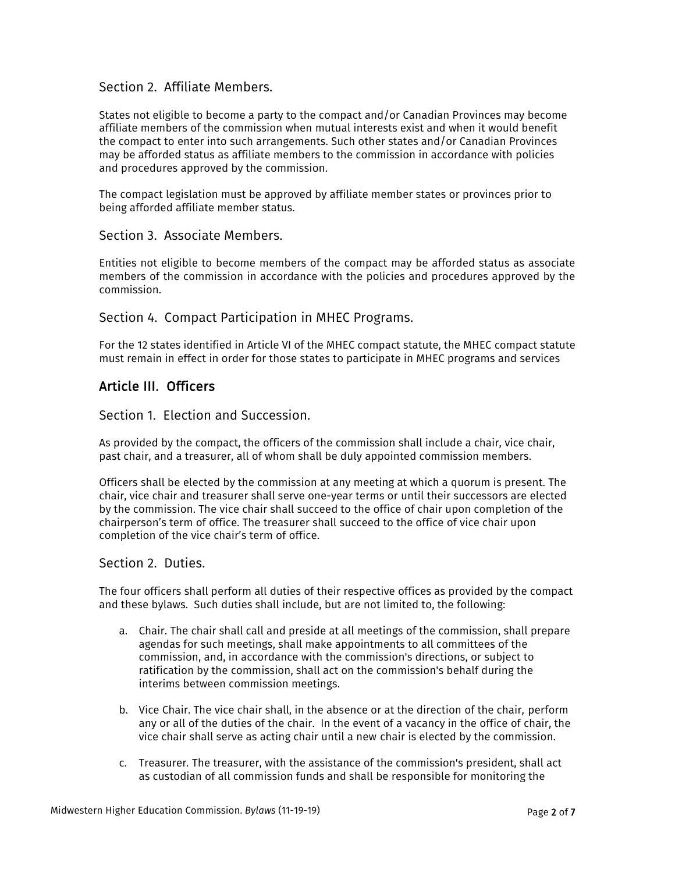### Section 2. Affiliate Members.

States not eligible to become a party to the compact and/or Canadian Provinces may become affiliate members of the commission when mutual interests exist and when it would benefit the compact to enter into such arrangements. Such other states and/or Canadian Provinces may be afforded status as affiliate members to the commission in accordance with policies and procedures approved by the commission.

The compact legislation must be approved by affiliate member states or provinces prior to being afforded affiliate member status.

# Section 3. Associate Members.

Entities not eligible to become members of the compact may be afforded status as associate members of the commission in accordance with the policies and procedures approved by the commission.

#### Section 4. Compact Participation in MHEC Programs.

For the 12 states identified in Article VI of the MHEC compact statute, the MHEC compact statute must remain in effect in order for those states to participate in MHEC programs and services

# Article III. Officers

#### Section 1. Election and Succession.

As provided by the compact, the officers of the commission shall include a chair, vice chair, past chair, and a treasurer, all of whom shall be duly appointed commission members.

Officers shall be elected by the commission at any meeting at which a quorum is present. The chair, vice chair and treasurer shall serve one-year terms or until their successors are elected by the commission. The vice chair shall succeed to the office of chair upon completion of the chairperson's term of office. The treasurer shall succeed to the office of vice chair upon completion of the vice chair's term of office.

#### Section 2. Duties.

The four officers shall perform all duties of their respective offices as provided by the compact and these bylaws. Such duties shall include, but are not limited to, the following:

- a. Chair. The chair shall call and preside at all meetings of the commission, shall prepare agendas for such meetings, shall make appointments to all committees of the commission, and, in accordance with the commission's directions, or subject to ratification by the commission, shall act on the commission's behalf during the interims between commission meetings.
- b. Vice Chair. The vice chair shall, in the absence or at the direction of the chair, perform any or all of the duties of the chair. In the event of a vacancy in the office of chair, the vice chair shall serve as acting chair until a new chair is elected by the commission.
- c. Treasurer*.* The treasurer, with the assistance of the commission's president, shall act as custodian of all commission funds and shall be responsible for monitoring the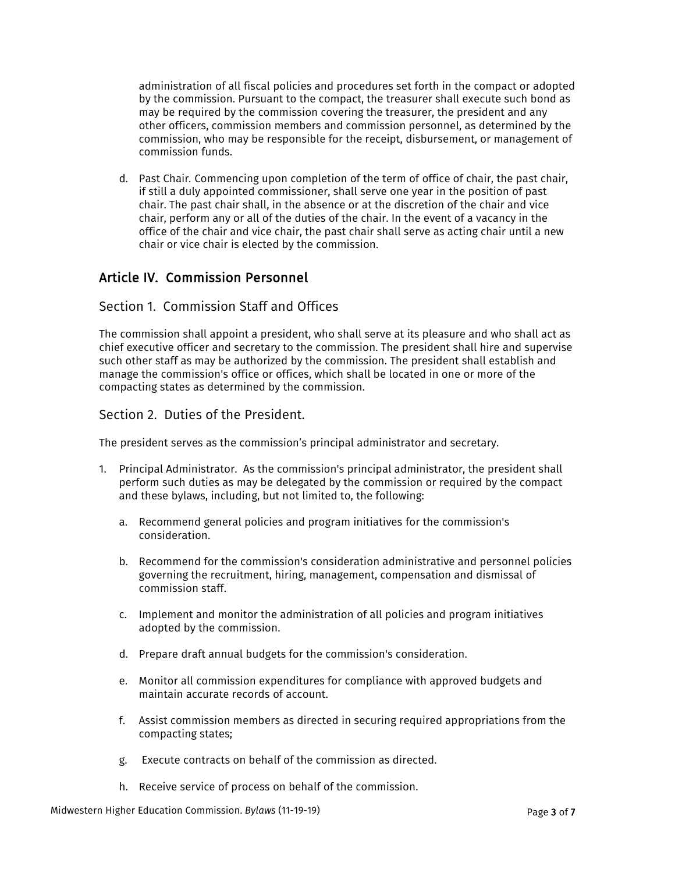administration of all fiscal policies and procedures set forth in the compact or adopted by the commission. Pursuant to the compact, the treasurer shall execute such bond as may be required by the commission covering the treasurer, the president and any other officers, commission members and commission personnel, as determined by the commission, who may be responsible for the receipt, disbursement, or management of commission funds.

d. Past Chair*.* Commencing upon completion of the term of office of chair, the past chair, if still a duly appointed commissioner, shall serve one year in the position of past chair. The past chair shall, in the absence or at the discretion of the chair and vice chair, perform any or all of the duties of the chair. In the event of a vacancy in the office of the chair and vice chair, the past chair shall serve as acting chair until a new chair or vice chair is elected by the commission.

# Article IV. Commission Personnel

### Section 1. Commission Staff and Offices

The commission shall appoint a president, who shall serve at its pleasure and who shall act as chief executive officer and secretary to the commission. The president shall hire and supervise such other staff as may be authorized by the commission. The president shall establish and manage the commission's office or offices, which shall be located in one or more of the compacting states as determined by the commission.

#### Section 2. Duties of the President.

The president serves as the commission's principal administrator and secretary.

- 1. Principal Administrator. As the commission's principal administrator, the president shall perform such duties as may be delegated by the commission or required by the compact and these bylaws, including, but not limited to, the following:
	- a. Recommend general policies and program initiatives for the commission's consideration.
	- b. Recommend for the commission's consideration administrative and personnel policies governing the recruitment, hiring, management, compensation and dismissal of commission staff.
	- c. Implement and monitor the administration of all policies and program initiatives adopted by the commission.
	- d. Prepare draft annual budgets for the commission's consideration.
	- e. Monitor all commission expenditures for compliance with approved budgets and maintain accurate records of account.
	- f. Assist commission members as directed in securing required appropriations from the compacting states;
	- g. Execute contracts on behalf of the commission as directed.
	- h. Receive service of process on behalf of the commission.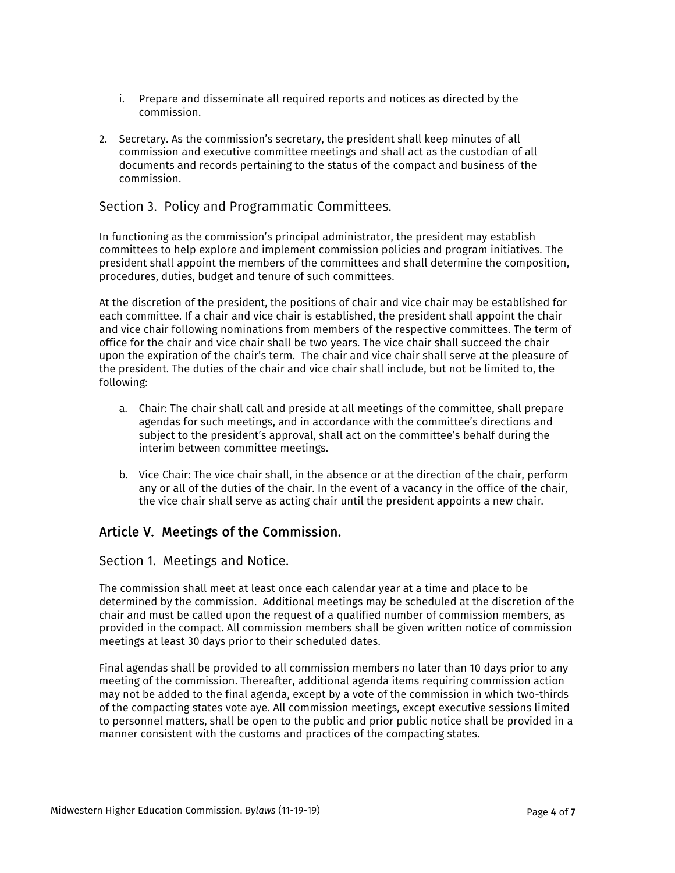- i. Prepare and disseminate all required reports and notices as directed by the commission.
- 2. Secretary. As the commission's secretary, the president shall keep minutes of all commission and executive committee meetings and shall act as the custodian of all documents and records pertaining to the status of the compact and business of the commission.

### Section 3. Policy and Programmatic Committees.

In functioning as the commission's principal administrator, the president may establish committees to help explore and implement commission policies and program initiatives. The president shall appoint the members of the committees and shall determine the composition, procedures, duties, budget and tenure of such committees.

At the discretion of the president, the positions of chair and vice chair may be established for each committee. If a chair and vice chair is established, the president shall appoint the chair and vice chair following nominations from members of the respective committees. The term of office for the chair and vice chair shall be two years. The vice chair shall succeed the chair upon the expiration of the chair's term. The chair and vice chair shall serve at the pleasure of the president. The duties of the chair and vice chair shall include, but not be limited to, the following:

- a. Chair: The chair shall call and preside at all meetings of the committee, shall prepare agendas for such meetings, and in accordance with the committee's directions and subject to the president's approval, shall act on the committee's behalf during the interim between committee meetings.
- b. Vice Chair: The vice chair shall, in the absence or at the direction of the chair, perform any or all of the duties of the chair. In the event of a vacancy in the office of the chair, the vice chair shall serve as acting chair until the president appoints a new chair.

# Article V. Meetings of the Commission.

#### Section 1. Meetings and Notice.

The commission shall meet at least once each calendar year at a time and place to be determined by the commission. Additional meetings may be scheduled at the discretion of the chair and must be called upon the request of a qualified number of commission members, as provided in the compact. All commission members shall be given written notice of commission meetings at least 30 days prior to their scheduled dates.

Final agendas shall be provided to all commission members no later than 10 days prior to any meeting of the commission. Thereafter, additional agenda items requiring commission action may not be added to the final agenda, except by a vote of the commission in which two-thirds of the compacting states vote aye. All commission meetings, except executive sessions limited to personnel matters, shall be open to the public and prior public notice shall be provided in a manner consistent with the customs and practices of the compacting states.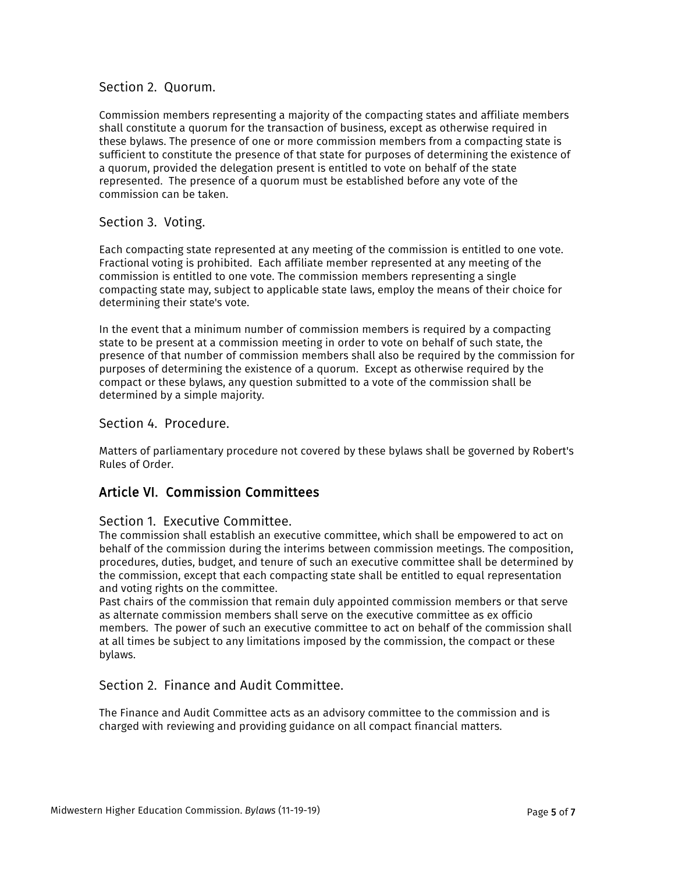#### Section 2. Quorum.

Commission members representing a majority of the compacting states and affiliate members shall constitute a quorum for the transaction of business, except as otherwise required in these bylaws. The presence of one or more commission members from a compacting state is sufficient to constitute the presence of that state for purposes of determining the existence of a quorum, provided the delegation present is entitled to vote on behalf of the state represented. The presence of a quorum must be established before any vote of the commission can be taken.

#### Section 3. Voting.

Each compacting state represented at any meeting of the commission is entitled to one vote. Fractional voting is prohibited. Each affiliate member represented at any meeting of the commission is entitled to one vote. The commission members representing a single compacting state may, subject to applicable state laws, employ the means of their choice for determining their state's vote.

In the event that a minimum number of commission members is required by a compacting state to be present at a commission meeting in order to vote on behalf of such state, the presence of that number of commission members shall also be required by the commission for purposes of determining the existence of a quorum. Except as otherwise required by the compact or these bylaws, any question submitted to a vote of the commission shall be determined by a simple majority.

#### Section 4. Procedure.

Matters of parliamentary procedure not covered by these bylaws shall be governed by Robert's Rules of Order.

# Article VI. Commission Committees

#### Section 1. Executive Committee.

The commission shall establish an executive committee, which shall be empowered to act on behalf of the commission during the interims between commission meetings. The composition, procedures, duties, budget, and tenure of such an executive committee shall be determined by the commission, except that each compacting state shall be entitled to equal representation and voting rights on the committee.

Past chairs of the commission that remain duly appointed commission members or that serve as alternate commission members shall serve on the executive committee as ex officio members. The power of such an executive committee to act on behalf of the commission shall at all times be subject to any limitations imposed by the commission, the compact or these bylaws.

#### Section 2. Finance and Audit Committee.

The Finance and Audit Committee acts as an advisory committee to the commission and is charged with reviewing and providing guidance on all compact financial matters.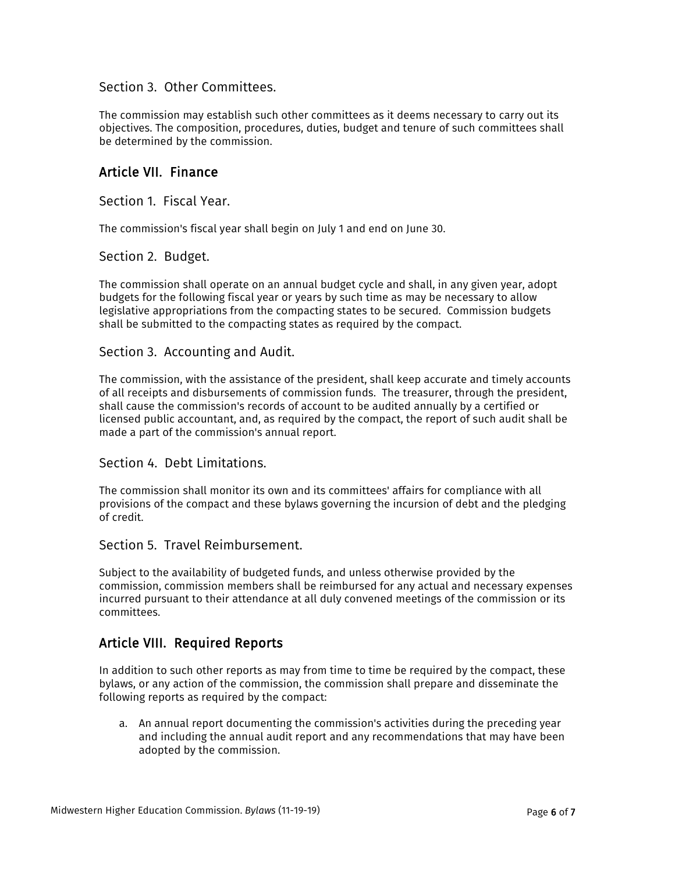#### Section 3. Other Committees.

The commission may establish such other committees as it deems necessary to carry out its objectives. The composition, procedures, duties, budget and tenure of such committees shall be determined by the commission.

### Article VII. Finance

Section 1. Fiscal Year.

The commission's fiscal year shall begin on July 1 and end on June 30.

#### Section 2. Budget.

The commission shall operate on an annual budget cycle and shall, in any given year, adopt budgets for the following fiscal year or years by such time as may be necessary to allow legislative appropriations from the compacting states to be secured. Commission budgets shall be submitted to the compacting states as required by the compact.

#### Section 3. Accounting and Audit.

The commission, with the assistance of the president, shall keep accurate and timely accounts of all receipts and disbursements of commission funds. The treasurer, through the president, shall cause the commission's records of account to be audited annually by a certified or licensed public accountant, and, as required by the compact, the report of such audit shall be made a part of the commission's annual report.

#### Section 4. Debt Limitations.

The commission shall monitor its own and its committees' affairs for compliance with all provisions of the compact and these bylaws governing the incursion of debt and the pledging of credit.

#### Section 5. Travel Reimbursement.

Subject to the availability of budgeted funds, and unless otherwise provided by the commission, commission members shall be reimbursed for any actual and necessary expenses incurred pursuant to their attendance at all duly convened meetings of the commission or its committees.

# Article VIII. Required Reports

In addition to such other reports as may from time to time be required by the compact, these bylaws, or any action of the commission, the commission shall prepare and disseminate the following reports as required by the compact:

a. An annual report documenting the commission's activities during the preceding year and including the annual audit report and any recommendations that may have been adopted by the commission.